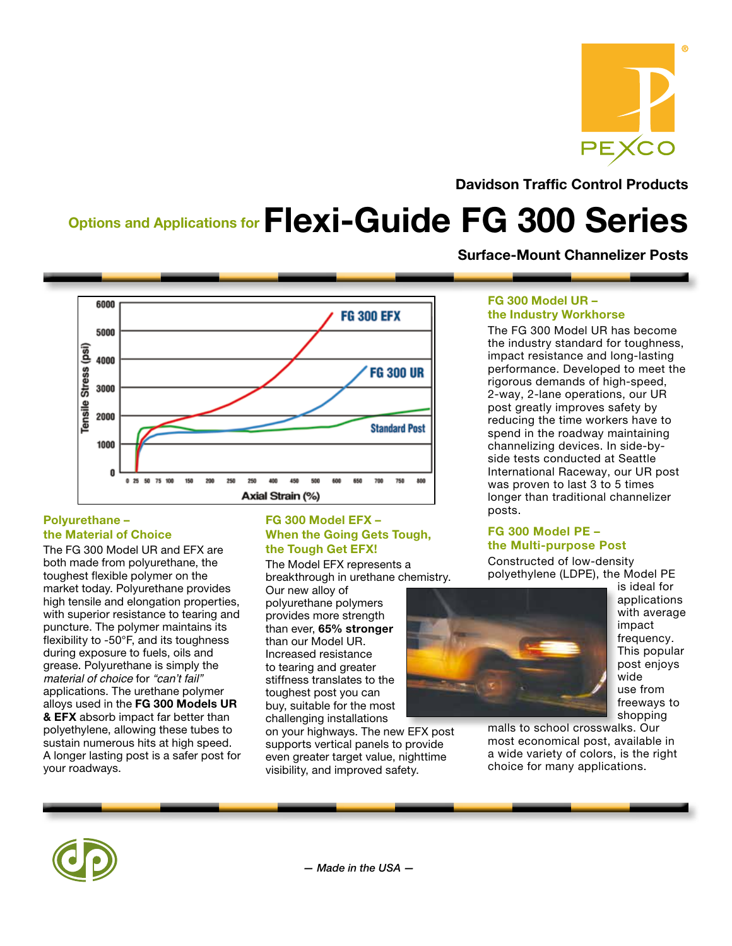

Davidson Traffic Control Products

Surface-Mount Channelizer Posts

# Options and Applications for Flexi-Guide FG 300 Series

6000 **FG 300 EFX** 5000 (isd) ssans elisual 4000 **FG 300 UR** 3000 2000 **Standard Post** 1000  $\mathbf{0}$ 250 250 450 750  $0.25$ 50 75 100 150 200 400 500 700 Axial Strain (%)

#### Polyurethane – the Material of Choice

The FG 300 Model UR and EFX are both made from polyurethane, the toughest flexible polymer on the market today. Polyurethane provides high tensile and elongation properties, with superior resistance to tearing and puncture. The polymer maintains its flexibility to -50°F, and its toughness during exposure to fuels, oils and grease. Polyurethane is simply the *material of choice* for "can't fail" applications. The urethane polymer alloys used in the FG 300 Models UR **& EFX** absorb impact far better than polyethylene, allowing these tubes to sustain numerous hits at high speed. A longer lasting post is a safer post for your roadways.

#### FG 300 Model EFX – When the Going Gets Tough, the Tough Get EFX!

The Model EFX represents a breakthrough in urethane chemistry.

Our new alloy of polyurethane polymers provides more strength than ever, 65% stronger than our Model UR. Increased resistance to tearing and greater stiffness translates to the toughest post you can buy, suitable for the most challenging installations

on your highways. The new EFX post supports vertical panels to provide even greater target value, nighttime visibility, and improved safety.

#### FG 300 Model UR – the Industry Workhorse

The FG 300 Model UR has become the industry standard for toughness, impact resistance and long-lasting performance. Developed to meet the rigorous demands of high-speed, 2-way, 2-lane operations, our UR post greatly improves safety by reducing the time workers have to spend in the roadway maintaining channelizing devices. In side-byside tests conducted at Seattle International Raceway, our UR post was proven to last 3 to 5 times longer than traditional channelizer posts.

#### FG 300 Model PE – the Multi-purpose Post

Constructed of low-density polyethylene (LDPE), the Model PE



is ideal for applications with average impact frequency. This popular post enjoys wide use from freeways to shopping

malls to school crosswalks. Our most economical post, available in a wide variety of colors, is the right choice for many applications.